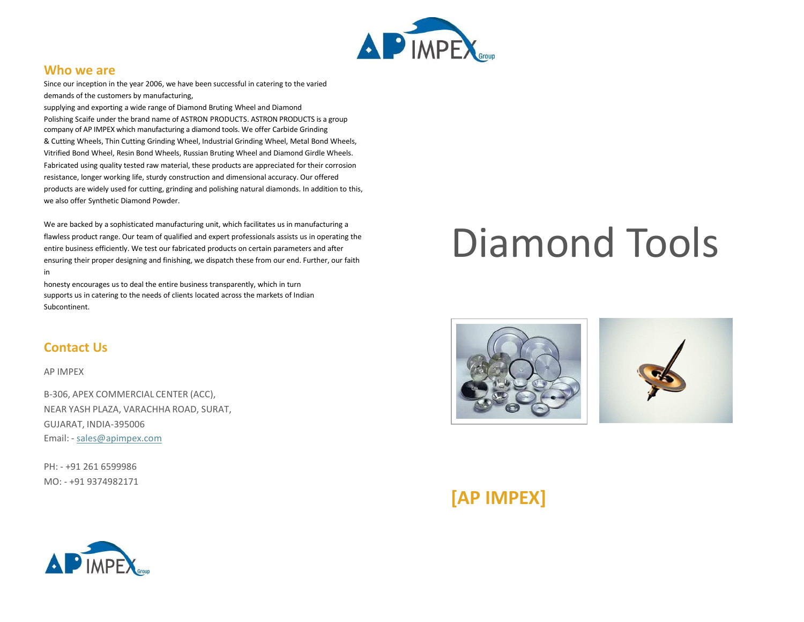

#### **Who we are**

Since our inception in the year 2006, we have been successful in catering to the varied demands of the customers by manufacturing,

supplying and exporting a wide range of Diamond Bruting Wheel and Diamond Polishing Scaife under the brand name of ASTRON PRODUCTS. ASTRON PRODUCTS is a group company of AP IMPEX which manufacturing a diamond tools. We offer Carbide Grinding & Cutting Wheels, Thin Cutting Grinding Wheel, Industrial Grinding Wheel, Metal Bond Wheels, Vitrified Bond Wheel, Resin Bond Wheels, Russian Bruting Wheel and Diamond Girdle Wheels. Fabricated using quality tested raw material, these products are appreciated for their corrosion resistance, longer working life, sturdy construction and dimensional accuracy. Our offered products are widely used for cutting, grinding and polishing natural diamonds. In addition to this, we also offer Synthetic Diamond Powder.

We are backed by a sophisticated manufacturing unit, which facilitates us in manufacturing a flawless product range. Our team of qualified and expert professionals assists us in operating the entire business efficiently. We test our fabricated products on certain parameters and after ensuring their proper designing and finishing, we dispatch these from our end. Further, our faith in

honesty encourages us to deal the entire business transparently, which in turn supports us in catering to the needs of clients located across the markets of Indian Subcontinent.

### **Contact Us**

AP IMPEX

B-306, APEX COMMERCIAL CENTER (ACC), NEAR YASH PLAZA, VARACHHA ROAD, SURAT, GUJARAT, INDIA-395006 Email: - [sales@apimpex.com](mailto:sales@apimpex.com)

PH: - +91 261 6599986 MO: - +91 9374982171

# Diamond Tools



# **[AP IMPEX]**

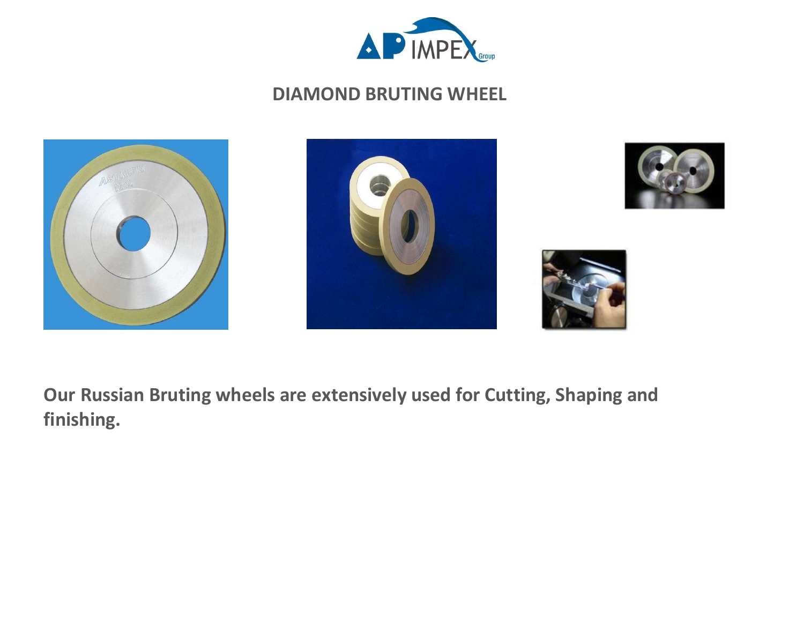

## **DIAMOND BRUTING WHEEL**









**Our Russian Bruting wheels are extensively used for Cutting, Shaping and finishing.**